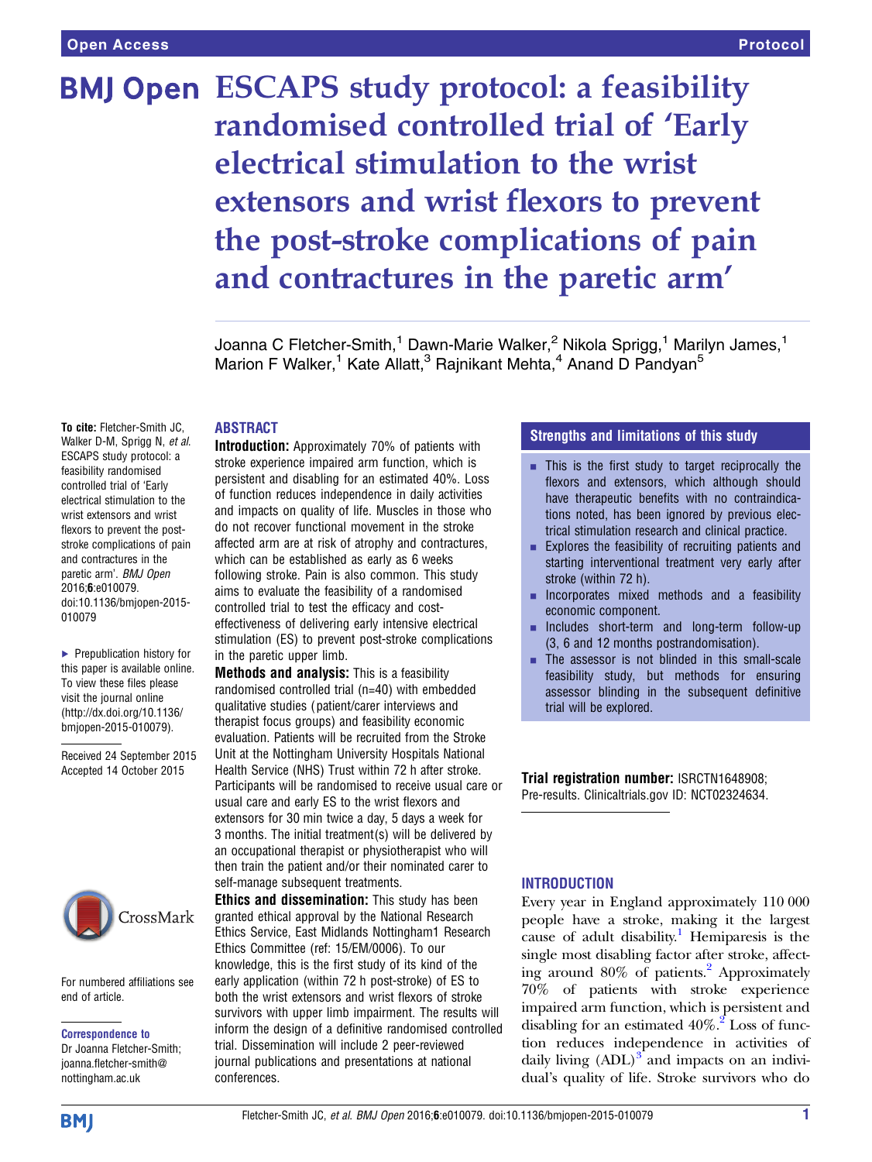# **BMJ Open ESCAPS study protocol: a feasibility** randomised controlled trial of 'Early electrical stimulation to the wrist extensors and wrist flexors to prevent the post-stroke complications of pain and contractures in the paretic arm'

Joanna C Fletcher-Smith,<sup>1</sup> Dawn-Marie Walker,<sup>2</sup> Nikola Sprigg,<sup>1</sup> Marilyn James,<sup>1</sup> Marion F Walker,<sup>1</sup> Kate Allatt,<sup>3</sup> Rajnikant Mehta,<sup>4</sup> Anand D Pandyan<sup>5</sup>

## ABSTRACT

To cite: Fletcher-Smith JC, Walker D-M, Sprigg N, et al. ESCAPS study protocol: a feasibility randomised controlled trial of 'Early electrical stimulation to the wrist extensors and wrist flexors to prevent the poststroke complications of pain and contractures in the paretic arm'. BMJ Open 2016;6:e010079. doi:10.1136/bmjopen-2015- 010079

▶ Prepublication history for this paper is available online. To view these files please visit the journal online [\(http://dx.doi.org/10.1136/](http://dx.doi.org/10.1136/bmjopen-2015-010079) [bmjopen-2015-010079](http://dx.doi.org/10.1136/bmjopen-2015-010079)).

Received 24 September 2015 Accepted 14 October 2015



For numbered affiliations see end of article.

#### Correspondence to

Dr Joanna Fletcher-Smith; joanna.fletcher-smith@ nottingham.ac.uk

Introduction: Approximately 70% of patients with stroke experience impaired arm function, which is persistent and disabling for an estimated 40%. Loss of function reduces independence in daily activities and impacts on quality of life. Muscles in those who do not recover functional movement in the stroke affected arm are at risk of atrophy and contractures, which can be established as early as 6 weeks following stroke. Pain is also common. This study aims to evaluate the feasibility of a randomised controlled trial to test the efficacy and costeffectiveness of delivering early intensive electrical stimulation (ES) to prevent post-stroke complications in the paretic upper limb.

Methods and analysis: This is a feasibility randomised controlled trial (n=40) with embedded qualitative studies ( patient/carer interviews and therapist focus groups) and feasibility economic evaluation. Patients will be recruited from the Stroke Unit at the Nottingham University Hospitals National Health Service (NHS) Trust within 72 h after stroke. Participants will be randomised to receive usual care or usual care and early ES to the wrist flexors and extensors for 30 min twice a day, 5 days a week for 3 months. The initial treatment(s) will be delivered by an occupational therapist or physiotherapist who will then train the patient and/or their nominated carer to self-manage subsequent treatments.

Ethics and dissemination: This study has been granted ethical approval by the National Research Ethics Service, East Midlands Nottingham1 Research Ethics Committee (ref: 15/EM/0006). To our knowledge, this is the first study of its kind of the early application (within 72 h post-stroke) of ES to both the wrist extensors and wrist flexors of stroke survivors with upper limb impairment. The results will inform the design of a definitive randomised controlled trial. Dissemination will include 2 peer-reviewed journal publications and presentations at national conferences.

# Strengths and limitations of this study

- $\blacksquare$  This is the first study to target reciprocally the flexors and extensors, which although should have therapeutic benefits with no contraindications noted, has been ignored by previous electrical stimulation research and clinical practice.
- $\blacksquare$  Explores the feasibility of recruiting patients and starting interventional treatment very early after stroke (within 72 h).
- **EXECUTE:** Incorporates mixed methods and a feasibility economic component.
- Includes short-term and long-term follow-up (3, 6 and 12 months postrandomisation).
- The assessor is not blinded in this small-scale feasibility study, but methods for ensuring assessor blinding in the subsequent definitive trial will be explored.

Trial registration number: ISRCTN1648908; Pre-results. Clinicaltrials.gov ID: NCT02324634.

## **INTRODUCTION**

Every year in England approximately 110 000 people have a stroke, making it the largest cause of adult disability.<sup>[1](#page-9-0)</sup> Hemiparesis is the single most disabling factor after stroke, affect-ing around 80% of patients.<sup>[2](#page-9-0)</sup> Approximately 70% of patients with stroke experience impaired arm function, which is persistent and disabling for an estimated  $40\%$ .<sup>[2](#page-9-0)</sup> Loss of function reduces independence in activities of daily living  $(ADL)^3$  $(ADL)^3$  and impacts on an individual's quality of life. Stroke survivors who do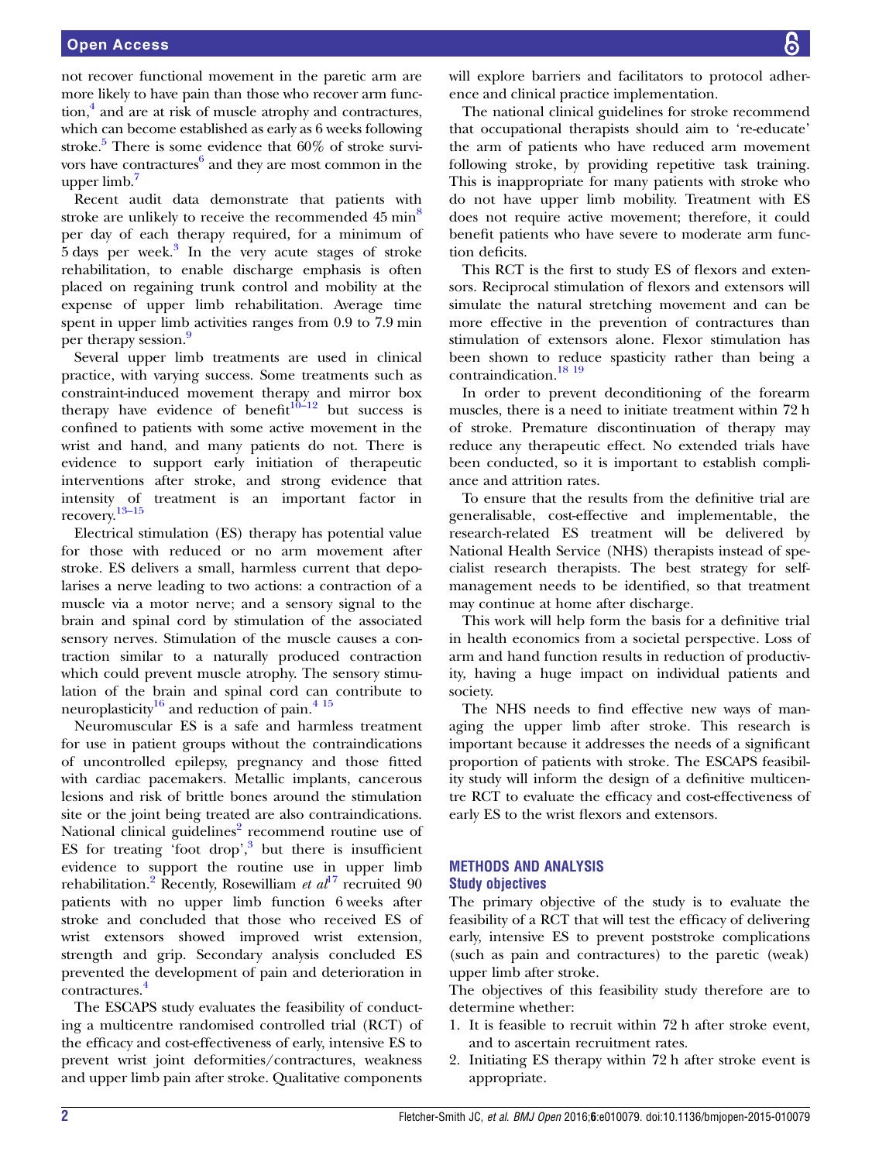not recover functional movement in the paretic arm are more likely to have pain than those who recover arm function,<sup>4</sup> and are at risk of muscle atrophy and contractures, which can become established as early as 6 weeks following stroke.<sup>5</sup> There is some evidence that  $60\%$  of stroke survi-vors have contractures<sup>[6](#page-9-0)</sup> and they are most common in the upper limb. $<sup>7</sup>$  $<sup>7</sup>$  $<sup>7</sup>$ </sup>

Recent audit data demonstrate that patients with stroke are unlikely to receive the recommended 45 min<sup>[8](#page-9-0)</sup> per day of each therapy required, for a minimum of  $5 \text{ days}$  per week.<sup>3</sup> In the very acute stages of stroke rehabilitation, to enable discharge emphasis is often placed on regaining trunk control and mobility at the expense of upper limb rehabilitation. Average time spent in upper limb activities ranges from 0.9 to 7.9 min per therapy session.<sup>[9](#page-9-0)</sup>

Several upper limb treatments are used in clinical practice, with varying success. Some treatments such as constraint-induced movement therapy and mirror box therapy have evidence of benefit<sup>[10](#page-9-0)-12</sup> but success is confined to patients with some active movement in the wrist and hand, and many patients do not. There is evidence to support early initiation of therapeutic interventions after stroke, and strong evidence that intensity of treatment is an important factor in recovery.[13](#page-9-0)–<sup>15</sup>

Electrical stimulation (ES) therapy has potential value for those with reduced or no arm movement after stroke. ES delivers a small, harmless current that depolarises a nerve leading to two actions: a contraction of a muscle via a motor nerve; and a sensory signal to the brain and spinal cord by stimulation of the associated sensory nerves. Stimulation of the muscle causes a contraction similar to a naturally produced contraction which could prevent muscle atrophy. The sensory stimulation of the brain and spinal cord can contribute to neuroplasticity<sup>[16](#page-9-0)</sup> and reduction of pain.<sup>[4 15](#page-9-0)</sup>

Neuromuscular ES is a safe and harmless treatment for use in patient groups without the contraindications of uncontrolled epilepsy, pregnancy and those fitted with cardiac pacemakers. Metallic implants, cancerous lesions and risk of brittle bones around the stimulation site or the joint being treated are also contraindications. National clinical guidelines $2$  recommend routine use of ES for treating 'foot drop',<sup>[3](#page-9-0)</sup> but there is insufficient evidence to support the routine use in upper limb rehabilitation.<sup>[2](#page-9-0)</sup> Recently, Rosewilliam *et al*<sup>[17](#page-9-0)</sup> recruited 90 patients with no upper limb function 6 weeks after stroke and concluded that those who received ES of wrist extensors showed improved wrist extension, strength and grip. Secondary analysis concluded ES prevented the development of pain and deterioration in contractures.<sup>[4](#page-9-0)</sup>

The ESCAPS study evaluates the feasibility of conducting a multicentre randomised controlled trial (RCT) of the efficacy and cost-effectiveness of early, intensive ES to prevent wrist joint deformities/contractures, weakness and upper limb pain after stroke. Qualitative components will explore barriers and facilitators to protocol adherence and clinical practice implementation.

The national clinical guidelines for stroke recommend that occupational therapists should aim to 're-educate' the arm of patients who have reduced arm movement following stroke, by providing repetitive task training. This is inappropriate for many patients with stroke who do not have upper limb mobility. Treatment with ES does not require active movement; therefore, it could benefit patients who have severe to moderate arm function deficits.

This RCT is the first to study ES of flexors and extensors. Reciprocal stimulation of flexors and extensors will simulate the natural stretching movement and can be more effective in the prevention of contractures than stimulation of extensors alone. Flexor stimulation has been shown to reduce spasticity rather than being a contraindication.<sup>18</sup><sup>19</sup>

In order to prevent deconditioning of the forearm muscles, there is a need to initiate treatment within 72 h of stroke. Premature discontinuation of therapy may reduce any therapeutic effect. No extended trials have been conducted, so it is important to establish compliance and attrition rates.

To ensure that the results from the definitive trial are generalisable, cost-effective and implementable, the research-related ES treatment will be delivered by National Health Service (NHS) therapists instead of specialist research therapists. The best strategy for selfmanagement needs to be identified, so that treatment may continue at home after discharge.

This work will help form the basis for a definitive trial in health economics from a societal perspective. Loss of arm and hand function results in reduction of productivity, having a huge impact on individual patients and society.

The NHS needs to find effective new ways of managing the upper limb after stroke. This research is important because it addresses the needs of a significant proportion of patients with stroke. The ESCAPS feasibility study will inform the design of a definitive multicentre RCT to evaluate the efficacy and cost-effectiveness of early ES to the wrist flexors and extensors.

# METHODS AND ANALYSIS Study objectives

The primary objective of the study is to evaluate the feasibility of a RCT that will test the efficacy of delivering early, intensive ES to prevent poststroke complications (such as pain and contractures) to the paretic (weak) upper limb after stroke.

The objectives of this feasibility study therefore are to determine whether:

- 1. It is feasible to recruit within 72 h after stroke event, and to ascertain recruitment rates.
- 2. Initiating ES therapy within 72 h after stroke event is appropriate.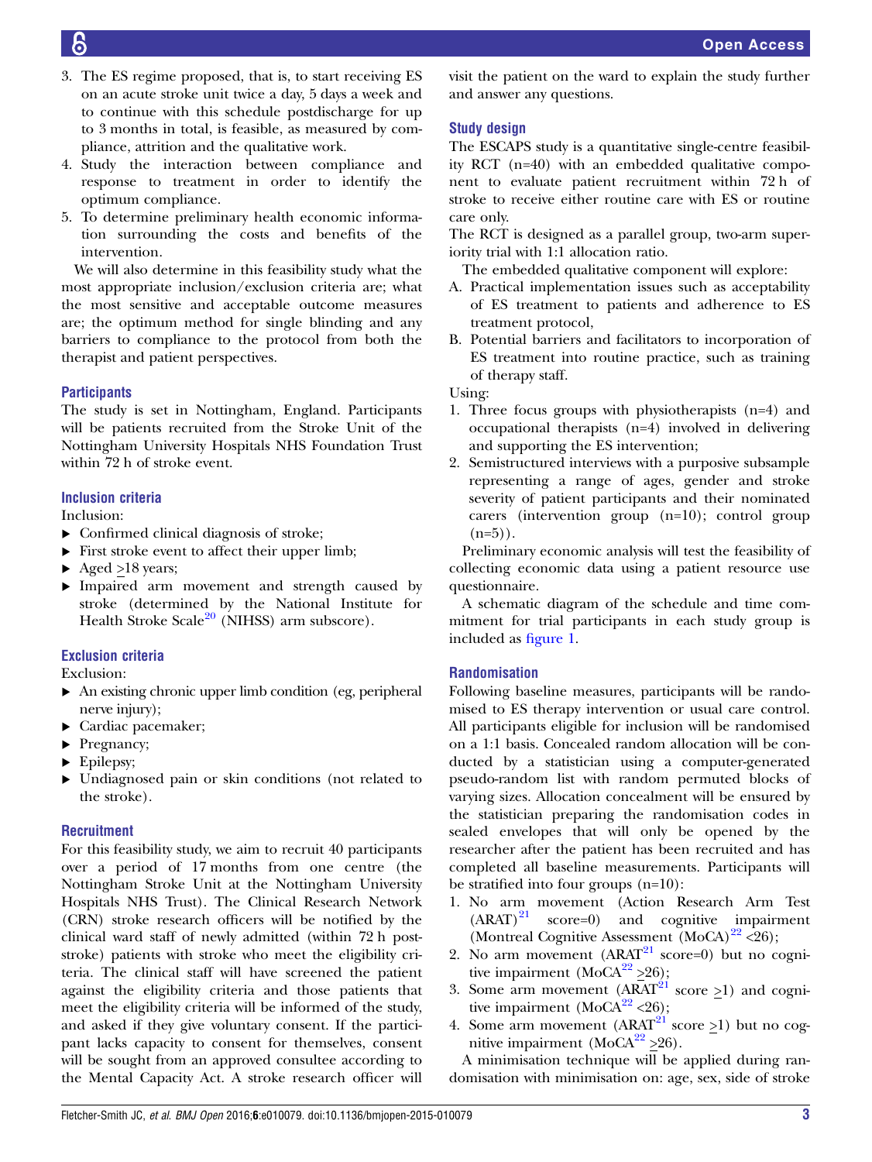- 3. The ES regime proposed, that is, to start receiving ES on an acute stroke unit twice a day, 5 days a week and to continue with this schedule postdischarge for up to 3 months in total, is feasible, as measured by compliance, attrition and the qualitative work.
- 4. Study the interaction between compliance and response to treatment in order to identify the optimum compliance.
- 5. To determine preliminary health economic information surrounding the costs and benefits of the intervention.

We will also determine in this feasibility study what the most appropriate inclusion/exclusion criteria are; what the most sensitive and acceptable outcome measures are; the optimum method for single blinding and any barriers to compliance to the protocol from both the therapist and patient perspectives.

# **Participants**

The study is set in Nottingham, England. Participants will be patients recruited from the Stroke Unit of the Nottingham University Hospitals NHS Foundation Trust within 72 h of stroke event.

# Inclusion criteria

Inclusion:

- ▸ Confirmed clinical diagnosis of stroke;
- ▶ First stroke event to affect their upper limb;
- $\blacktriangleright$  Aged >18 years;
- ▸ Impaired arm movement and strength caused by stroke (determined by the National Institute for Health Stroke Scale $^{20}$  $^{20}$  $^{20}$  (NIHSS) arm subscore).

# Exclusion criteria

Exclusion:

- ▸ An existing chronic upper limb condition (eg, peripheral nerve injury);
- ▸ Cardiac pacemaker;
- ▶ Pregnancy;
- ▶ Epilepsy;
- ▸ Undiagnosed pain or skin conditions (not related to the stroke).

# **Recruitment**

For this feasibility study, we aim to recruit 40 participants over a period of 17 months from one centre (the Nottingham Stroke Unit at the Nottingham University Hospitals NHS Trust). The Clinical Research Network (CRN) stroke research officers will be notified by the clinical ward staff of newly admitted (within 72 h poststroke) patients with stroke who meet the eligibility criteria. The clinical staff will have screened the patient against the eligibility criteria and those patients that meet the eligibility criteria will be informed of the study, and asked if they give voluntary consent. If the participant lacks capacity to consent for themselves, consent will be sought from an approved consultee according to the Mental Capacity Act. A stroke research officer will

visit the patient on the ward to explain the study further and answer any questions.

# Study design

The ESCAPS study is a quantitative single-centre feasibility RCT (n=40) with an embedded qualitative component to evaluate patient recruitment within 72 h of stroke to receive either routine care with ES or routine care only.

The RCT is designed as a parallel group, two-arm superiority trial with 1:1 allocation ratio.

The embedded qualitative component will explore:

- A. Practical implementation issues such as acceptability of ES treatment to patients and adherence to ES treatment protocol,
- B. Potential barriers and facilitators to incorporation of ES treatment into routine practice, such as training of therapy staff.

Using:

- 1. Three focus groups with physiotherapists (n=4) and occupational therapists (n=4) involved in delivering and supporting the ES intervention;
- 2. Semistructured interviews with a purposive subsample representing a range of ages, gender and stroke severity of patient participants and their nominated carers (intervention group (n=10); control group  $(n=5)$ ).

Preliminary economic analysis will test the feasibility of collecting economic data using a patient resource use questionnaire.

A schematic diagram of the schedule and time commitment for trial participants in each study group is included as fi[gure 1.](#page-3-0)

# Randomisation

Following baseline measures, participants will be randomised to ES therapy intervention or usual care control. All participants eligible for inclusion will be randomised on a 1:1 basis. Concealed random allocation will be conducted by a statistician using a computer-generated pseudo-random list with random permuted blocks of varying sizes. Allocation concealment will be ensured by the statistician preparing the randomisation codes in sealed envelopes that will only be opened by the researcher after the patient has been recruited and has completed all baseline measurements. Participants will be stratified into four groups (n=10):

- 1. No arm movement (Action Research Arm Test  $(ARAT)^{21}$  $(ARAT)^{21}$  $(ARAT)^{21}$  score=0) and cognitive impairment (Montreal Cognitive Assessment  $(MoCA)^{22}$  $(MoCA)^{22}$  $(MoCA)^{22}$  <26);
- 2. No arm movement  $(ARAT<sup>21</sup> score=0)$  $(ARAT<sup>21</sup> score=0)$  $(ARAT<sup>21</sup> score=0)$  but no cognitive impairment (MoCA $^{22}$  $^{22}$  $^{22}$  >26);
- 3. Some arm movement  $(ARAT<sup>21</sup> score >1)$  $(ARAT<sup>21</sup> score >1)$  $(ARAT<sup>21</sup> score >1)$  and cognitive impairment (MoCA $^{22}$  $^{22}$  $^{22}$  <26);
- 4. Some arm movement (ARAT<sup>[21](#page-9-0)</sup> score  $\geq$ 1) but no cognitive impairment (MoCA $^{22}$  >26).

A minimisation technique will be applied during randomisation with minimisation on: age, sex, side of stroke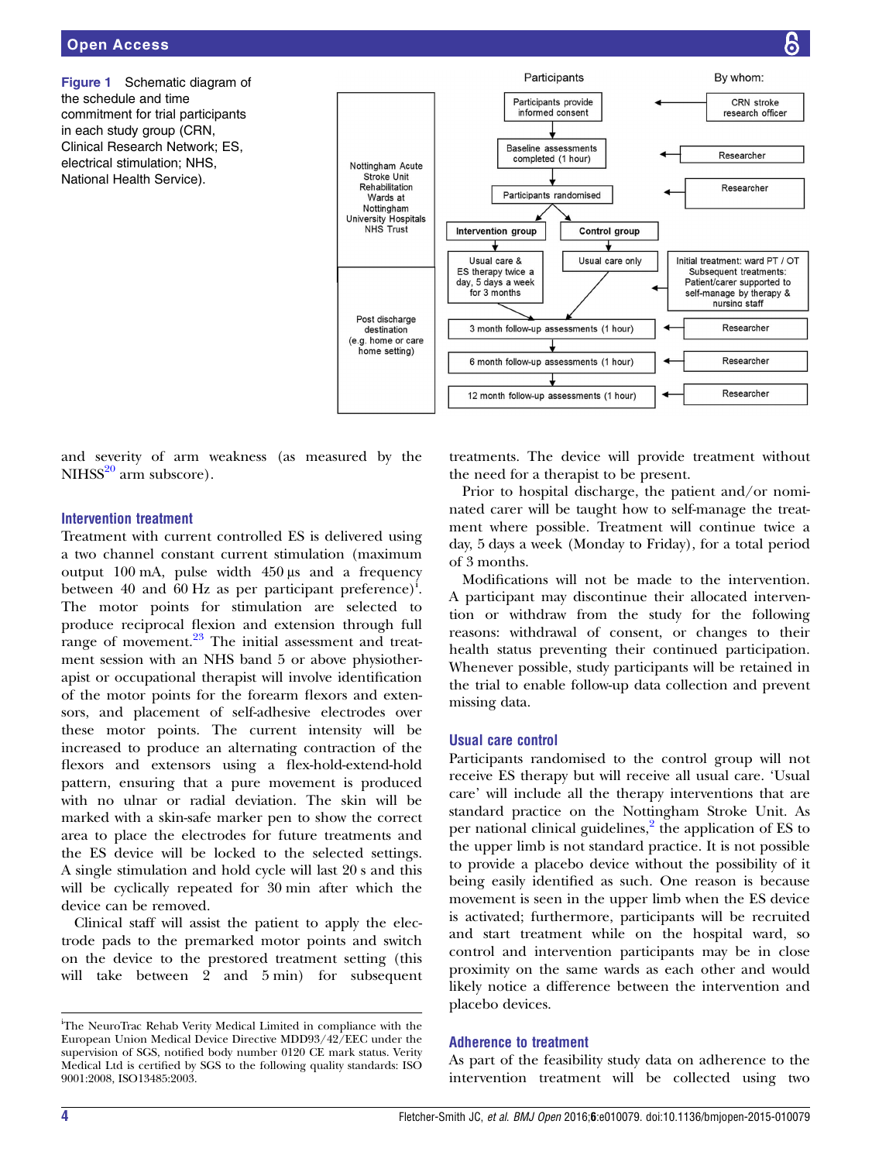<span id="page-3-0"></span>Figure 1 Schematic diagram of the schedule and time commitment for trial participants in each study group (CRN, Clinical Research Network; ES, electrical stimulation; NHS, National Health Service).



and severity of arm weakness (as measured by the  $NIHSS<sup>20</sup>$  $NIHSS<sup>20</sup>$  $NIHSS<sup>20</sup>$  arm subscore).

# Intervention treatment

Treatment with current controlled ES is delivered using a two channel constant current stimulation (maximum output 100 mA, pulse width 450 μs and a frequency between 40 and 60 Hz as per participant preference)<sup>i</sup>. The motor points for stimulation are selected to produce reciprocal flexion and extension through full range of movement.<sup>[23](#page-9-0)</sup> The initial assessment and treatment session with an NHS band 5 or above physiotherapist or occupational therapist will involve identification of the motor points for the forearm flexors and extensors, and placement of self-adhesive electrodes over these motor points. The current intensity will be increased to produce an alternating contraction of the flexors and extensors using a flex-hold-extend-hold pattern, ensuring that a pure movement is produced with no ulnar or radial deviation. The skin will be marked with a skin-safe marker pen to show the correct area to place the electrodes for future treatments and the ES device will be locked to the selected settings. A single stimulation and hold cycle will last 20 s and this will be cyclically repeated for 30 min after which the device can be removed.

Clinical staff will assist the patient to apply the electrode pads to the premarked motor points and switch on the device to the prestored treatment setting (this will take between 2 and 5 min) for subsequent treatments. The device will provide treatment without the need for a therapist to be present.

Prior to hospital discharge, the patient and/or nominated carer will be taught how to self-manage the treatment where possible. Treatment will continue twice a day, 5 days a week (Monday to Friday), for a total period of 3 months.

Modifications will not be made to the intervention. A participant may discontinue their allocated intervention or withdraw from the study for the following reasons: withdrawal of consent, or changes to their health status preventing their continued participation. Whenever possible, study participants will be retained in the trial to enable follow-up data collection and prevent missing data.

# Usual care control

Participants randomised to the control group will not receive ES therapy but will receive all usual care. 'Usual care' will include all the therapy interventions that are standard practice on the Nottingham Stroke Unit. As per national clinical guidelines, $\frac{2}{3}$  $\frac{2}{3}$  $\frac{2}{3}$  the application of ES to the upper limb is not standard practice. It is not possible to provide a placebo device without the possibility of it being easily identified as such. One reason is because movement is seen in the upper limb when the ES device is activated; furthermore, participants will be recruited and start treatment while on the hospital ward, so control and intervention participants may be in close proximity on the same wards as each other and would likely notice a difference between the intervention and placebo devices.

## Adherence to treatment

As part of the feasibility study data on adherence to the intervention treatment will be collected using two

i The NeuroTrac Rehab Verity Medical Limited in compliance with the European Union Medical Device Directive MDD93/42/EEC under the supervision of SGS, notified body number 0120 CE mark status. Verity Medical Ltd is certified by SGS to the following quality standards: ISO 9001:2008, ISO13485:2003.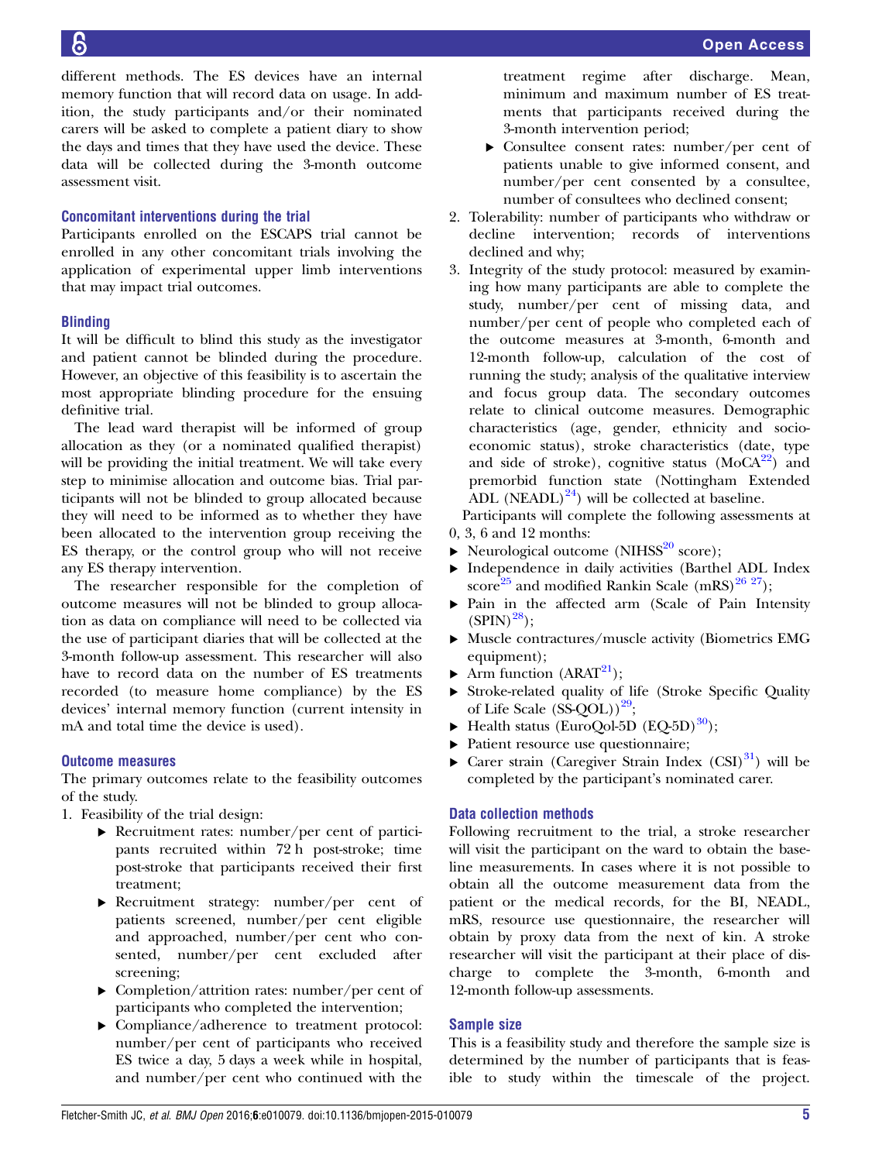different methods. The ES devices have an internal memory function that will record data on usage. In addition, the study participants and/or their nominated carers will be asked to complete a patient diary to show the days and times that they have used the device. These data will be collected during the 3-month outcome assessment visit.

# Concomitant interventions during the trial

Participants enrolled on the ESCAPS trial cannot be enrolled in any other concomitant trials involving the application of experimental upper limb interventions that may impact trial outcomes.

# **Blinding**

It will be difficult to blind this study as the investigator and patient cannot be blinded during the procedure. However, an objective of this feasibility is to ascertain the most appropriate blinding procedure for the ensuing definitive trial.

The lead ward therapist will be informed of group allocation as they (or a nominated qualified therapist) will be providing the initial treatment. We will take every step to minimise allocation and outcome bias. Trial participants will not be blinded to group allocated because they will need to be informed as to whether they have been allocated to the intervention group receiving the ES therapy, or the control group who will not receive any ES therapy intervention.

The researcher responsible for the completion of outcome measures will not be blinded to group allocation as data on compliance will need to be collected via the use of participant diaries that will be collected at the 3-month follow-up assessment. This researcher will also have to record data on the number of ES treatments recorded (to measure home compliance) by the ES devices' internal memory function (current intensity in mA and total time the device is used).

# Outcome measures

The primary outcomes relate to the feasibility outcomes of the study.

- 1. Feasibility of the trial design:
	- ▸ Recruitment rates: number/per cent of participants recruited within 72 h post-stroke; time post-stroke that participants received their first treatment;
	- ▸ Recruitment strategy: number/per cent of patients screened, number/per cent eligible and approached, number/per cent who consented, number/per cent excluded after screening;
	- ▸ Completion/attrition rates: number/per cent of participants who completed the intervention;
	- ▸ Compliance/adherence to treatment protocol: number/per cent of participants who received ES twice a day, 5 days a week while in hospital, and number/per cent who continued with the

treatment regime after discharge. Mean, minimum and maximum number of ES treatments that participants received during the 3-month intervention period;

- ▸ Consultee consent rates: number/per cent of patients unable to give informed consent, and number/per cent consented by a consultee, number of consultees who declined consent;
- 2. Tolerability: number of participants who withdraw or decline intervention; records of interventions declined and why;
- 3. Integrity of the study protocol: measured by examining how many participants are able to complete the study, number/per cent of missing data, and number/per cent of people who completed each of the outcome measures at 3-month, 6-month and 12-month follow-up, calculation of the cost of running the study; analysis of the qualitative interview and focus group data. The secondary outcomes relate to clinical outcome measures. Demographic characteristics (age, gender, ethnicity and socioeconomic status), stroke characteristics (date, type and side of stroke), cognitive status  $(MoCA<sup>22</sup>)$  $(MoCA<sup>22</sup>)$  $(MoCA<sup>22</sup>)$  and premorbid function state (Nottingham Extended ADL (NEADL) $^{24}$ ) will be collected at baseline.

Participants will complete the following assessments at 0, 3, 6 and 12 months:

- $\triangleright$  Neurological outcome (NIHSS<sup>[20](#page-9-0)</sup> score);
- ▸ Independence in daily activities (Barthel ADL Index score<sup>[25](#page-9-0)</sup> and modified Rankin Scale (mRS)<sup>26 27</sup>);
- ▸ Pain in the affected arm (Scale of Pain Intensity  $(SPIN)^{28}$ :
- ▸ Muscle contractures/muscle activity (Biometrics EMG equipment);
- $\blacktriangleright$  Arm function (ARAT<sup>[21](#page-9-0)</sup>);
- ▸ Stroke-related quality of life (Stroke Specific Quality of Life Scale  $(SS-QOL))^{29}$ ;
- $\blacktriangleright$  Health status (EuroQol-5D (EQ-5D)<sup>30</sup>);
- ▸ Patient resource use questionnaire;
- $\triangleright$  Carer strain (Caregiver Strain Index (CSI)<sup>31</sup>) will be completed by the participant's nominated carer.

# Data collection methods

Following recruitment to the trial, a stroke researcher will visit the participant on the ward to obtain the baseline measurements. In cases where it is not possible to obtain all the outcome measurement data from the patient or the medical records, for the BI, NEADL, mRS, resource use questionnaire, the researcher will obtain by proxy data from the next of kin. A stroke researcher will visit the participant at their place of discharge to complete the 3-month, 6-month and 12-month follow-up assessments.

# Sample size

This is a feasibility study and therefore the sample size is determined by the number of participants that is feasible to study within the timescale of the project.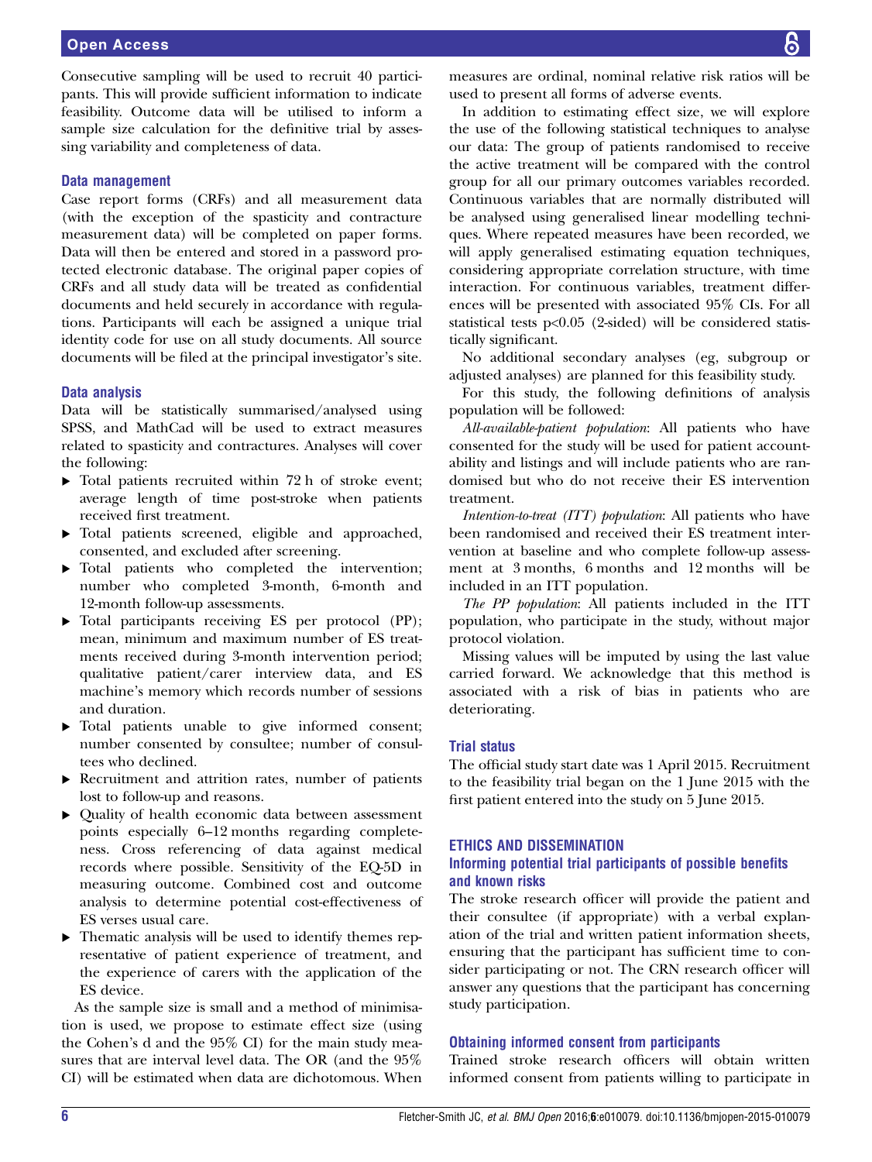Consecutive sampling will be used to recruit 40 participants. This will provide sufficient information to indicate feasibility. Outcome data will be utilised to inform a sample size calculation for the definitive trial by assessing variability and completeness of data.

## Data management

Case report forms (CRFs) and all measurement data (with the exception of the spasticity and contracture measurement data) will be completed on paper forms. Data will then be entered and stored in a password protected electronic database. The original paper copies of CRFs and all study data will be treated as confidential documents and held securely in accordance with regulations. Participants will each be assigned a unique trial identity code for use on all study documents. All source documents will be filed at the principal investigator's site.

#### Data analysis

Data will be statistically summarised/analysed using SPSS, and MathCad will be used to extract measures related to spasticity and contractures. Analyses will cover the following:

- ▸ Total patients recruited within 72 h of stroke event; average length of time post-stroke when patients received first treatment.
- ▸ Total patients screened, eligible and approached, consented, and excluded after screening.
- ▸ Total patients who completed the intervention; number who completed 3-month, 6-month and 12-month follow-up assessments.
- ▸ Total participants receiving ES per protocol (PP); mean, minimum and maximum number of ES treatments received during 3-month intervention period; qualitative patient/carer interview data, and ES machine's memory which records number of sessions and duration.
- ▸ Total patients unable to give informed consent; number consented by consultee; number of consultees who declined.
- ▸ Recruitment and attrition rates, number of patients lost to follow-up and reasons.
- ▸ Quality of health economic data between assessment points especially 6–12 months regarding completeness. Cross referencing of data against medical records where possible. Sensitivity of the EQ-5D in measuring outcome. Combined cost and outcome analysis to determine potential cost-effectiveness of ES verses usual care.
- ▸ Thematic analysis will be used to identify themes representative of patient experience of treatment, and the experience of carers with the application of the ES device.

As the sample size is small and a method of minimisation is used, we propose to estimate effect size (using the Cohen's d and the 95% CI) for the main study measures that are interval level data. The OR (and the 95% CI) will be estimated when data are dichotomous. When

measures are ordinal, nominal relative risk ratios will be used to present all forms of adverse events.

In addition to estimating effect size, we will explore the use of the following statistical techniques to analyse our data: The group of patients randomised to receive the active treatment will be compared with the control group for all our primary outcomes variables recorded. Continuous variables that are normally distributed will be analysed using generalised linear modelling techniques. Where repeated measures have been recorded, we will apply generalised estimating equation techniques, considering appropriate correlation structure, with time interaction. For continuous variables, treatment differences will be presented with associated 95% CIs. For all statistical tests p<0.05 (2-sided) will be considered statistically significant.

No additional secondary analyses (eg, subgroup or adjusted analyses) are planned for this feasibility study.

For this study, the following definitions of analysis population will be followed:

All-available-patient population: All patients who have consented for the study will be used for patient accountability and listings and will include patients who are randomised but who do not receive their ES intervention treatment.

Intention-to-treat (ITT) population: All patients who have been randomised and received their ES treatment intervention at baseline and who complete follow-up assessment at 3 months, 6 months and 12 months will be included in an ITT population.

The PP population: All patients included in the ITT population, who participate in the study, without major protocol violation.

Missing values will be imputed by using the last value carried forward. We acknowledge that this method is associated with a risk of bias in patients who are deteriorating.

## Trial status

The official study start date was 1 April 2015. Recruitment to the feasibility trial began on the 1 June 2015 with the first patient entered into the study on 5 June 2015.

#### ETHICS AND DISSEMINATION

# Informing potential trial participants of possible benefits and known risks

The stroke research officer will provide the patient and their consultee (if appropriate) with a verbal explanation of the trial and written patient information sheets, ensuring that the participant has sufficient time to consider participating or not. The CRN research officer will answer any questions that the participant has concerning study participation.

#### Obtaining informed consent from participants

Trained stroke research officers will obtain written informed consent from patients willing to participate in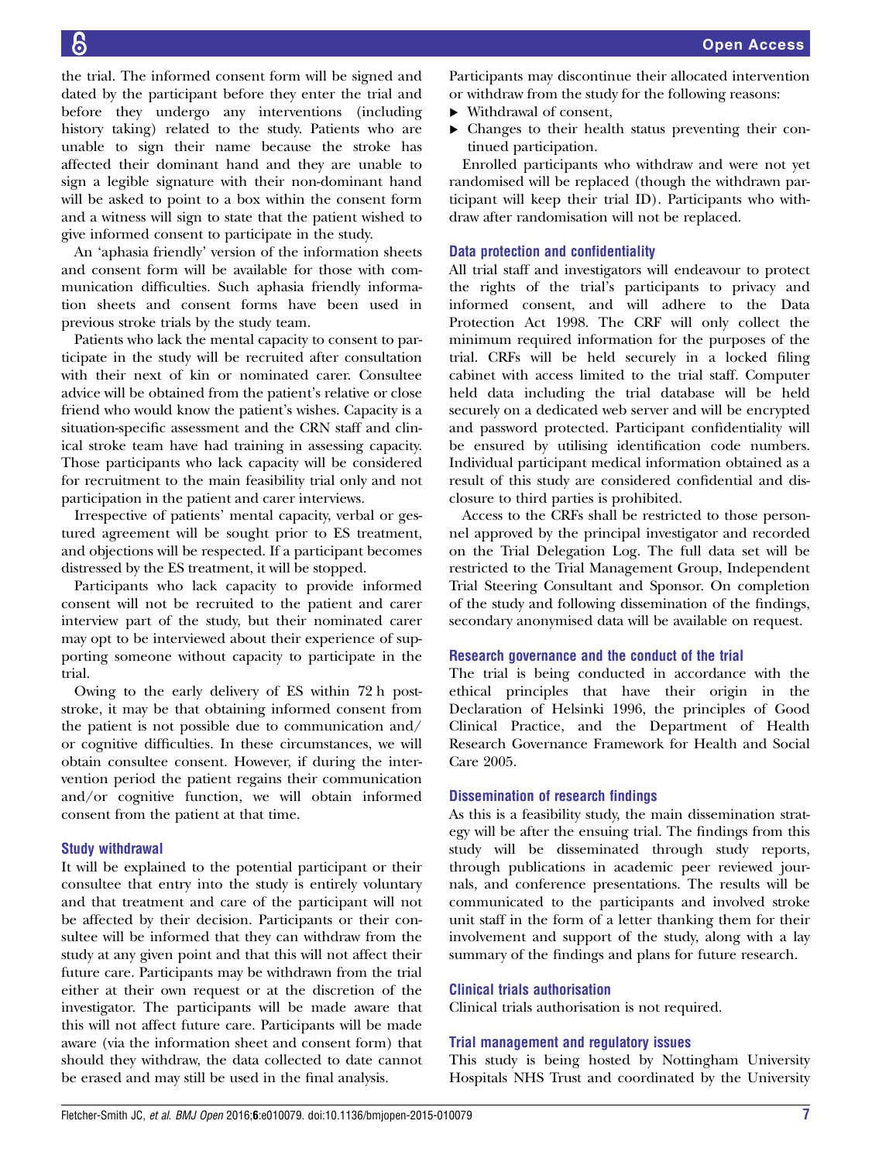the trial. The informed consent form will be signed and dated by the participant before they enter the trial and before they undergo any interventions (including history taking) related to the study. Patients who are unable to sign their name because the stroke has affected their dominant hand and they are unable to sign a legible signature with their non-dominant hand will be asked to point to a box within the consent form and a witness will sign to state that the patient wished to give informed consent to participate in the study.

An 'aphasia friendly' version of the information sheets and consent form will be available for those with communication difficulties. Such aphasia friendly information sheets and consent forms have been used in previous stroke trials by the study team.

Patients who lack the mental capacity to consent to participate in the study will be recruited after consultation with their next of kin or nominated carer. Consultee advice will be obtained from the patient's relative or close friend who would know the patient's wishes. Capacity is a situation-specific assessment and the CRN staff and clinical stroke team have had training in assessing capacity. Those participants who lack capacity will be considered for recruitment to the main feasibility trial only and not participation in the patient and carer interviews.

Irrespective of patients' mental capacity, verbal or gestured agreement will be sought prior to ES treatment, and objections will be respected. If a participant becomes distressed by the ES treatment, it will be stopped.

Participants who lack capacity to provide informed consent will not be recruited to the patient and carer interview part of the study, but their nominated carer may opt to be interviewed about their experience of supporting someone without capacity to participate in the trial.

Owing to the early delivery of ES within 72 h poststroke, it may be that obtaining informed consent from the patient is not possible due to communication and/ or cognitive difficulties. In these circumstances, we will obtain consultee consent. However, if during the intervention period the patient regains their communication and/or cognitive function, we will obtain informed consent from the patient at that time.

# Study withdrawal

It will be explained to the potential participant or their consultee that entry into the study is entirely voluntary and that treatment and care of the participant will not be affected by their decision. Participants or their consultee will be informed that they can withdraw from the study at any given point and that this will not affect their future care. Participants may be withdrawn from the trial either at their own request or at the discretion of the investigator. The participants will be made aware that this will not affect future care. Participants will be made aware (via the information sheet and consent form) that should they withdraw, the data collected to date cannot be erased and may still be used in the final analysis.

Participants may discontinue their allocated intervention or withdraw from the study for the following reasons:

- ▸ Withdrawal of consent,
- ▸ Changes to their health status preventing their continued participation.

Enrolled participants who withdraw and were not yet randomised will be replaced (though the withdrawn participant will keep their trial ID). Participants who withdraw after randomisation will not be replaced.

# Data protection and confidentiality

All trial staff and investigators will endeavour to protect the rights of the trial's participants to privacy and informed consent, and will adhere to the Data Protection Act 1998. The CRF will only collect the minimum required information for the purposes of the trial. CRFs will be held securely in a locked filing cabinet with access limited to the trial staff. Computer held data including the trial database will be held securely on a dedicated web server and will be encrypted and password protected. Participant confidentiality will be ensured by utilising identification code numbers. Individual participant medical information obtained as a result of this study are considered confidential and disclosure to third parties is prohibited.

Access to the CRFs shall be restricted to those personnel approved by the principal investigator and recorded on the Trial Delegation Log. The full data set will be restricted to the Trial Management Group, Independent Trial Steering Consultant and Sponsor. On completion of the study and following dissemination of the findings, secondary anonymised data will be available on request.

# Research governance and the conduct of the trial

The trial is being conducted in accordance with the ethical principles that have their origin in the Declaration of Helsinki 1996, the principles of Good Clinical Practice, and the Department of Health Research Governance Framework for Health and Social Care 2005.

## Dissemination of research findings

As this is a feasibility study, the main dissemination strategy will be after the ensuing trial. The findings from this study will be disseminated through study reports, through publications in academic peer reviewed journals, and conference presentations. The results will be communicated to the participants and involved stroke unit staff in the form of a letter thanking them for their involvement and support of the study, along with a lay summary of the findings and plans for future research.

## Clinical trials authorisation

Clinical trials authorisation is not required.

## Trial management and regulatory issues

This study is being hosted by Nottingham University Hospitals NHS Trust and coordinated by the University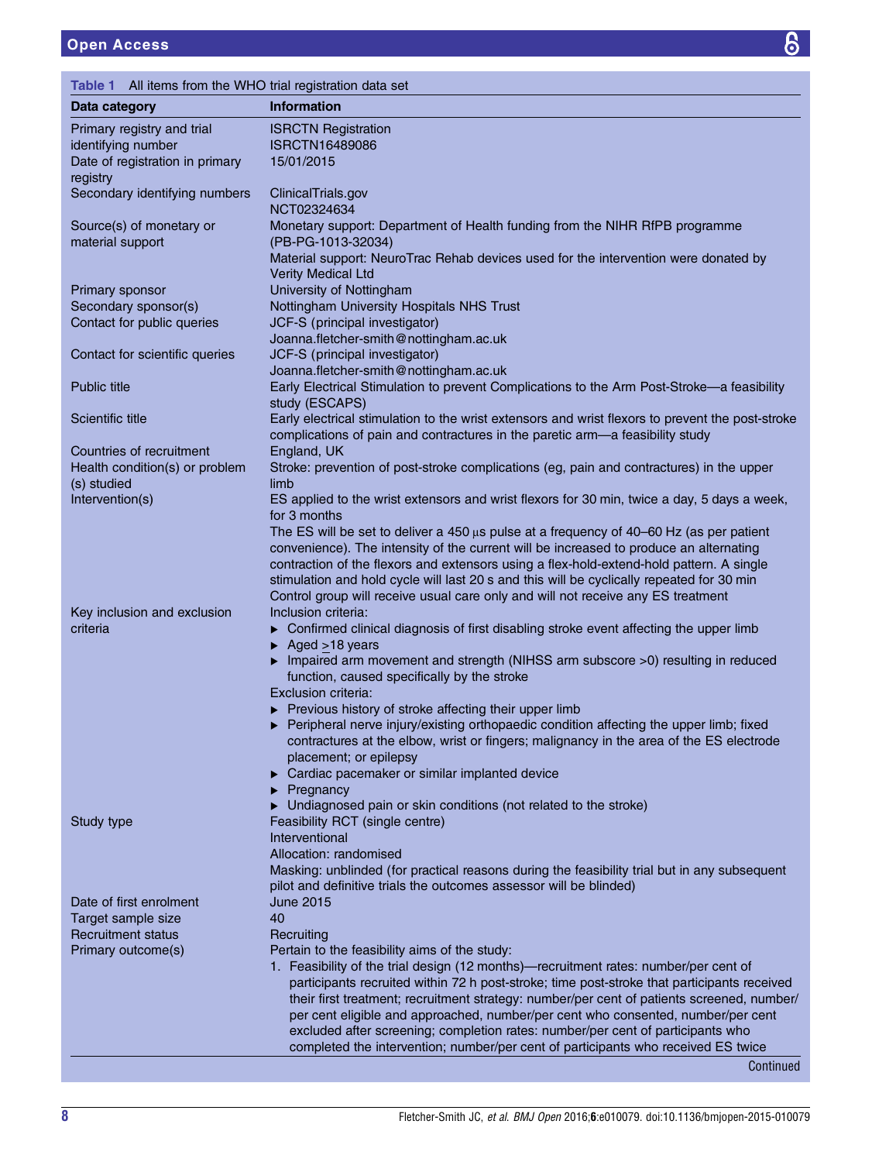<span id="page-7-0"></span>

| All items from the WHO trial registration data set<br>Table 1 |                                                                                                                                                                                   |  |
|---------------------------------------------------------------|-----------------------------------------------------------------------------------------------------------------------------------------------------------------------------------|--|
| Data category                                                 | <b>Information</b>                                                                                                                                                                |  |
| Primary registry and trial                                    | <b>ISRCTN Registration</b>                                                                                                                                                        |  |
| identifying number                                            | <b>ISRCTN16489086</b>                                                                                                                                                             |  |
| Date of registration in primary                               | 15/01/2015                                                                                                                                                                        |  |
| registry                                                      |                                                                                                                                                                                   |  |
| Secondary identifying numbers                                 | ClinicalTrials.gov<br>NCT02324634                                                                                                                                                 |  |
| Source(s) of monetary or<br>material support                  | Monetary support: Department of Health funding from the NIHR RfPB programme                                                                                                       |  |
|                                                               | (PB-PG-1013-32034)                                                                                                                                                                |  |
|                                                               | Material support: NeuroTrac Rehab devices used for the intervention were donated by<br>Verity Medical Ltd                                                                         |  |
| Primary sponsor                                               | University of Nottingham                                                                                                                                                          |  |
| Secondary sponsor(s)                                          | Nottingham University Hospitals NHS Trust                                                                                                                                         |  |
| Contact for public queries                                    | JCF-S (principal investigator)                                                                                                                                                    |  |
|                                                               | Joanna.fletcher-smith@nottingham.ac.uk                                                                                                                                            |  |
| Contact for scientific queries                                | JCF-S (principal investigator)                                                                                                                                                    |  |
|                                                               | Joanna.fletcher-smith@nottingham.ac.uk                                                                                                                                            |  |
| <b>Public title</b>                                           | Early Electrical Stimulation to prevent Complications to the Arm Post-Stroke-a feasibility                                                                                        |  |
|                                                               | study (ESCAPS)                                                                                                                                                                    |  |
| Scientific title                                              | Early electrical stimulation to the wrist extensors and wrist flexors to prevent the post-stroke<br>complications of pain and contractures in the paretic arm-a feasibility study |  |
| Countries of recruitment                                      | England, UK                                                                                                                                                                       |  |
| Health condition(s) or problem<br>(s) studied                 | Stroke: prevention of post-stroke complications (eg, pain and contractures) in the upper<br>limb                                                                                  |  |
| Intervention(s)                                               | ES applied to the wrist extensors and wrist flexors for 30 min, twice a day, 5 days a week,                                                                                       |  |
|                                                               | for 3 months                                                                                                                                                                      |  |
|                                                               | The ES will be set to deliver a 450 $\mu$ s pulse at a frequency of 40–60 Hz (as per patient                                                                                      |  |
|                                                               | convenience). The intensity of the current will be increased to produce an alternating                                                                                            |  |
|                                                               | contraction of the flexors and extensors using a flex-hold-extend-hold pattern. A single                                                                                          |  |
|                                                               | stimulation and hold cycle will last 20 s and this will be cyclically repeated for 30 min<br>Control group will receive usual care only and will not receive any ES treatment     |  |
| Key inclusion and exclusion                                   | Inclusion criteria:                                                                                                                                                               |  |
| criteria                                                      | Confirmed clinical diagnosis of first disabling stroke event affecting the upper limb                                                                                             |  |
|                                                               | $\triangleright$ Aged > 18 years                                                                                                                                                  |  |
|                                                               | Impaired arm movement and strength (NIHSS arm subscore >0) resulting in reduced                                                                                                   |  |
|                                                               | function, caused specifically by the stroke                                                                                                                                       |  |
|                                                               | Exclusion criteria:                                                                                                                                                               |  |
|                                                               | ▶ Previous history of stroke affecting their upper limb                                                                                                                           |  |
|                                                               | Peripheral nerve injury/existing orthopaedic condition affecting the upper limb; fixed                                                                                            |  |
|                                                               | contractures at the elbow, wrist or fingers; malignancy in the area of the ES electrode                                                                                           |  |
|                                                               | placement; or epilepsy                                                                                                                                                            |  |
|                                                               | Cardiac pacemaker or similar implanted device<br>Pregnancy                                                                                                                        |  |
|                                                               | Undiagnosed pain or skin conditions (not related to the stroke)                                                                                                                   |  |
| Study type                                                    | Feasibility RCT (single centre)                                                                                                                                                   |  |
|                                                               | Interventional                                                                                                                                                                    |  |
|                                                               | Allocation: randomised                                                                                                                                                            |  |
|                                                               | Masking: unblinded (for practical reasons during the feasibility trial but in any subsequent                                                                                      |  |
|                                                               | pilot and definitive trials the outcomes assessor will be blinded)                                                                                                                |  |
| Date of first enrolment                                       | June 2015                                                                                                                                                                         |  |
| Target sample size                                            | 40                                                                                                                                                                                |  |
| <b>Recruitment status</b>                                     | Recruiting                                                                                                                                                                        |  |
| Primary outcome(s)                                            | Pertain to the feasibility aims of the study:                                                                                                                                     |  |
|                                                               | 1. Feasibility of the trial design (12 months)—recruitment rates: number/per cent of                                                                                              |  |
|                                                               | participants recruited within 72 h post-stroke; time post-stroke that participants received                                                                                       |  |
|                                                               | their first treatment; recruitment strategy: number/per cent of patients screened, number/<br>per cent eligible and approached, number/per cent who consented, number/per cent    |  |
|                                                               | excluded after screening; completion rates: number/per cent of participants who                                                                                                   |  |
|                                                               | completed the intervention; number/per cent of participants who received ES twice                                                                                                 |  |
|                                                               | Continued                                                                                                                                                                         |  |

 $\overline{6}$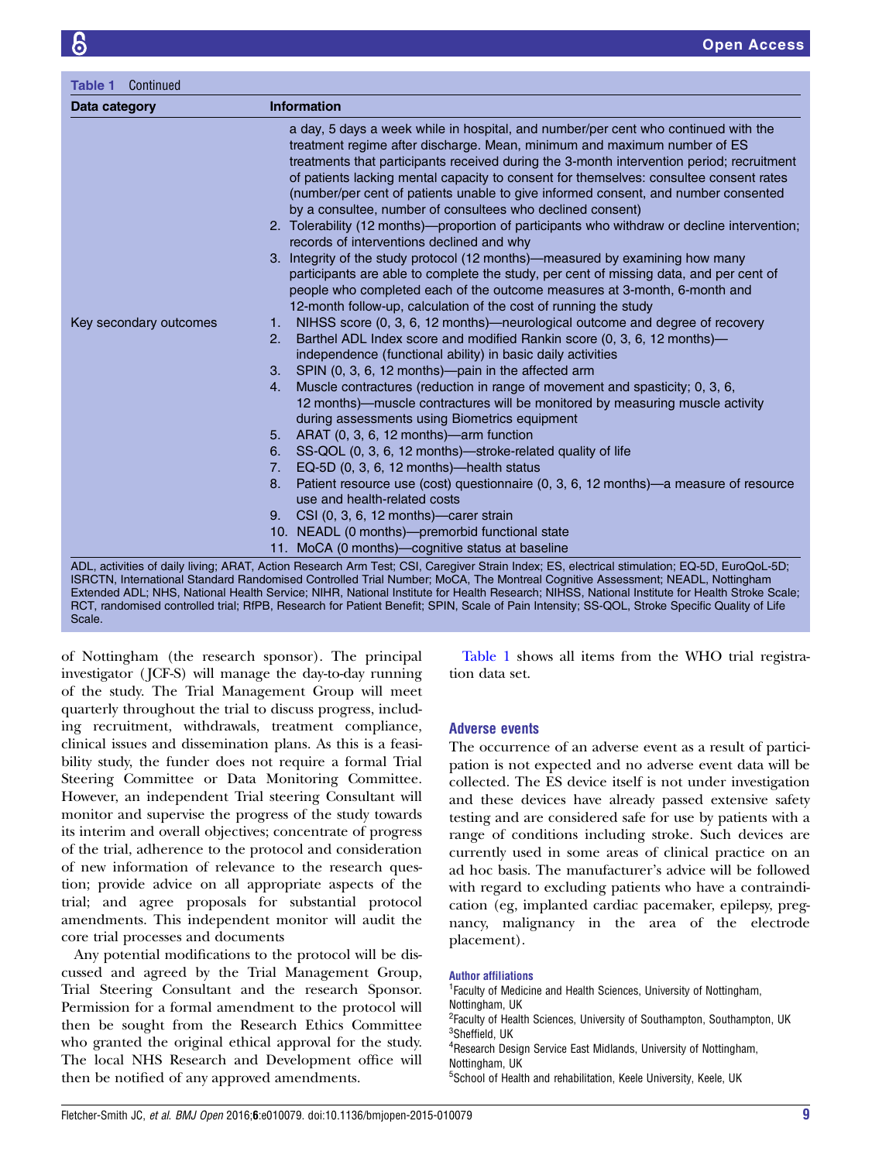Scale.

| Data category          | <b>Information</b>                                                                                                                                                                                                                                                                                                                                                                                                                                                                                                                                                            |
|------------------------|-------------------------------------------------------------------------------------------------------------------------------------------------------------------------------------------------------------------------------------------------------------------------------------------------------------------------------------------------------------------------------------------------------------------------------------------------------------------------------------------------------------------------------------------------------------------------------|
|                        | a day, 5 days a week while in hospital, and number/per cent who continued with the<br>treatment regime after discharge. Mean, minimum and maximum number of ES<br>treatments that participants received during the 3-month intervention period; recruitment<br>of patients lacking mental capacity to consent for themselves: consultee consent rates<br>(number/per cent of patients unable to give informed consent, and number consented<br>by a consultee, number of consultees who declined consent)                                                                     |
|                        | 2. Tolerability (12 months)—proportion of participants who withdraw or decline intervention;<br>records of interventions declined and why                                                                                                                                                                                                                                                                                                                                                                                                                                     |
|                        | 3. Integrity of the study protocol (12 months)—measured by examining how many                                                                                                                                                                                                                                                                                                                                                                                                                                                                                                 |
|                        | participants are able to complete the study, per cent of missing data, and per cent of<br>people who completed each of the outcome measures at 3-month, 6-month and<br>12-month follow-up, calculation of the cost of running the study                                                                                                                                                                                                                                                                                                                                       |
| Key secondary outcomes | NIHSS score (0, 3, 6, 12 months)—neurological outcome and degree of recovery<br>1.                                                                                                                                                                                                                                                                                                                                                                                                                                                                                            |
|                        | Barthel ADL Index score and modified Rankin score (0, 3, 6, 12 months)—<br>2.                                                                                                                                                                                                                                                                                                                                                                                                                                                                                                 |
|                        | independence (functional ability) in basic daily activities                                                                                                                                                                                                                                                                                                                                                                                                                                                                                                                   |
|                        | SPIN (0, 3, 6, 12 months)—pain in the affected arm<br>3.                                                                                                                                                                                                                                                                                                                                                                                                                                                                                                                      |
|                        | Muscle contractures (reduction in range of movement and spasticity; 0, 3, 6,<br>4.<br>12 months)—muscle contractures will be monitored by measuring muscle activity<br>during assessments using Biometrics equipment                                                                                                                                                                                                                                                                                                                                                          |
|                        | 5. ARAT $(0, 3, 6, 12 \text{ months})$ —arm function                                                                                                                                                                                                                                                                                                                                                                                                                                                                                                                          |
|                        | SS-QOL (0, 3, 6, 12 months)-stroke-related quality of life<br>6.                                                                                                                                                                                                                                                                                                                                                                                                                                                                                                              |
|                        | EQ-5D (0, 3, 6, 12 months)-health status<br>7.                                                                                                                                                                                                                                                                                                                                                                                                                                                                                                                                |
|                        | Patient resource use (cost) questionnaire (0, 3, 6, 12 months)—a measure of resource<br>8.<br>use and health-related costs                                                                                                                                                                                                                                                                                                                                                                                                                                                    |
|                        | 9. CSI (0, 3, 6, 12 months)—carer strain                                                                                                                                                                                                                                                                                                                                                                                                                                                                                                                                      |
|                        | 10. NEADL (0 months)-premorbid functional state                                                                                                                                                                                                                                                                                                                                                                                                                                                                                                                               |
|                        | 11. MoCA (0 months)-cognitive status at baseline                                                                                                                                                                                                                                                                                                                                                                                                                                                                                                                              |
|                        | ADL, activities of daily living; ARAT, Action Research Arm Test; CSI, Caregiver Strain Index; ES, electrical stimulation; EQ-5D, EuroQoL-5D;<br>ISRCTN, International Standard Randomised Controlled Trial Number; MoCA, The Montreal Cognitive Assessment; NEADL, Nottingham<br>Extended ADL; NHS, National Health Service; NIHR, National Institute for Health Research; NIHSS, National Institute for Health Stroke Scale;<br>RCT, randomised controlled trial; RfPB, Research for Patient Benefit; SPIN, Scale of Pain Intensity; SS-QOL, Stroke Specific Quality of Life |

of Nottingham (the research sponsor). The principal investigator ( JCF-S) will manage the day-to-day running of the study. The Trial Management Group will meet quarterly throughout the trial to discuss progress, including recruitment, withdrawals, treatment compliance, clinical issues and dissemination plans. As this is a feasibility study, the funder does not require a formal Trial Steering Committee or Data Monitoring Committee. However, an independent Trial steering Consultant will monitor and supervise the progress of the study towards its interim and overall objectives; concentrate of progress of the trial, adherence to the protocol and consideration of new information of relevance to the research question; provide advice on all appropriate aspects of the trial; and agree proposals for substantial protocol amendments. This independent monitor will audit the core trial processes and documents

Any potential modifications to the protocol will be discussed and agreed by the Trial Management Group, Trial Steering Consultant and the research Sponsor. Permission for a formal amendment to the protocol will then be sought from the Research Ethics Committee who granted the original ethical approval for the study. The local NHS Research and Development office will then be notified of any approved amendments.

[Table 1](#page-7-0) shows all items from the WHO trial registration data set.

## Adverse events

The occurrence of an adverse event as a result of participation is not expected and no adverse event data will be collected. The ES device itself is not under investigation and these devices have already passed extensive safety testing and are considered safe for use by patients with a range of conditions including stroke. Such devices are currently used in some areas of clinical practice on an ad hoc basis. The manufacturer's advice will be followed with regard to excluding patients who have a contraindication (eg, implanted cardiac pacemaker, epilepsy, pregnancy, malignancy in the area of the electrode placement).

#### Author affiliations

<sup>1</sup> Faculty of Medicine and Health Sciences, University of Nottingham, Nottingham, UK <sup>2</sup> Faculty of Health Sciences, University of Southampton, Southampton, UK

3 Sheffield, UK 4 Research Design Service East Midlands, University of Nottingham,

Nottingham, UK

5 School of Health and rehabilitation, Keele University, Keele, UK